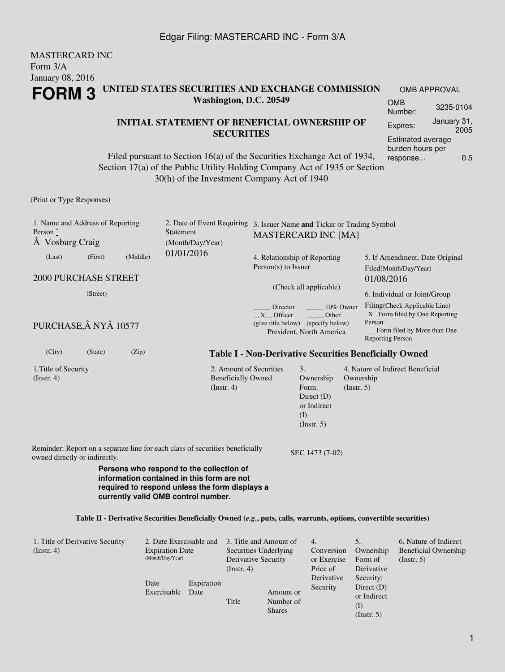#### MASTERCARD INC Form 3/A January 08, 2016 **FORM 3 UNITED STATES SECURITIES AND EXCHANGE COMMISSION Washington, D.C. 20549** OMB APPROVAL OMB Number: 3235-0104

#### **INITIAL STATEMENT OF BENEFICIAL OWNERSHIP OF SECURITIES**

Filed pursuant to Section 16(a) of the Securities Exchange Act of 1934, Section 17(a) of the Public Utility Holding Company Act of 1935 or Section 30(h) of the Investment Company Act of 1940

(Print or Type Responses)

| 1. Name and Address of Reporting<br>Person $*$<br>A Vosburg Craig |                       |          | Statement<br>(Month/Day/Year)                                                                                                                                                   | 2. Date of Event Requiring 3. Issuer Name and Ticker or Trading Symbol<br><b>MASTERCARD INC [MA]</b>          |                                                                                             |                                                         |                                                                                                                                      |  |
|-------------------------------------------------------------------|-----------------------|----------|---------------------------------------------------------------------------------------------------------------------------------------------------------------------------------|---------------------------------------------------------------------------------------------------------------|---------------------------------------------------------------------------------------------|---------------------------------------------------------|--------------------------------------------------------------------------------------------------------------------------------------|--|
| (Last)                                                            | (First)               | (Middle) | 01/01/2016                                                                                                                                                                      | 4. Relationship of Reporting<br>$Person(s)$ to Issuer                                                         |                                                                                             | 5. If Amendment, Date Original<br>Filed(Month/Day/Year) |                                                                                                                                      |  |
| <b>2000 PURCHASE STREET</b>                                       |                       |          |                                                                                                                                                                                 |                                                                                                               |                                                                                             | 01/08/2016                                              |                                                                                                                                      |  |
|                                                                   | (Street)              |          |                                                                                                                                                                                 | (Check all applicable)                                                                                        |                                                                                             |                                                         | 6. Individual or Joint/Group                                                                                                         |  |
|                                                                   | PURCHASE, Â NYÂ 10577 |          |                                                                                                                                                                                 | 10% Owner<br>Director<br>X Officer<br>Other<br>(give title below) (specify below)<br>President, North America |                                                                                             |                                                         | Filing(Check Applicable Line)<br>$X$ Form filed by One Reporting<br>Person<br>Form filed by More than One<br><b>Reporting Person</b> |  |
| (City)                                                            | (State)               | (Zip)    | <b>Table I - Non-Derivative Securities Beneficially Owned</b>                                                                                                                   |                                                                                                               |                                                                                             |                                                         |                                                                                                                                      |  |
| 1. Title of Security<br>(Instr. 4)                                |                       |          | 2. Amount of Securities<br><b>Beneficially Owned</b><br>(Instr. 4)                                                                                                              |                                                                                                               | $\mathfrak{Z}$ .<br>Ownership<br>Form:<br>Direct $(D)$<br>or Indirect<br>(I)<br>(Insert. 5) | Ownership<br>(Insert. 5)                                | 4. Nature of Indirect Beneficial                                                                                                     |  |
| owned directly or indirectly.                                     |                       |          | Reminder: Report on a separate line for each class of securities beneficially                                                                                                   |                                                                                                               | SEC 1473 (7-02)                                                                             |                                                         |                                                                                                                                      |  |
|                                                                   |                       |          | Persons who respond to the collection of<br>information contained in this form are not<br>required to respond unless the form displays a<br>currently valid OMB control number. |                                                                                                               |                                                                                             |                                                         |                                                                                                                                      |  |
|                                                                   |                       |          | Table II - Derivative Securities Beneficially Owned (e.g., puts, calls, warrants, options, convertible securities)                                                              |                                                                                                               |                                                                                             |                                                         |                                                                                                                                      |  |

| 1. Title of Derivative Security<br>$($ Instr. 4 $)$ | 2. Date Exercisable and<br><b>Expiration Date</b><br>(Month/Day/Year) |                    | 3. Title and Amount of<br>Securities Underlying<br>Derivative Security |                                         | 4.<br>Conversion<br>or Exercise    | Ownership<br>Form of                                                         | 6. Nature of Indirect<br>Beneficial Ownership<br>(Insert. 5) |
|-----------------------------------------------------|-----------------------------------------------------------------------|--------------------|------------------------------------------------------------------------|-----------------------------------------|------------------------------------|------------------------------------------------------------------------------|--------------------------------------------------------------|
|                                                     | Date<br>Exercisable                                                   | Expiration<br>Date | $($ Instr. 4 $)$<br>Title                                              | Amount or<br>Number of<br><b>Shares</b> | Price of<br>Derivative<br>Security | Derivative<br>Security:<br>Direct $(D)$<br>or Indirect<br>(1)<br>(Insert. 5) |                                                              |

Expires: January 31,

Estimated average burden hours per response... 0.5

2005